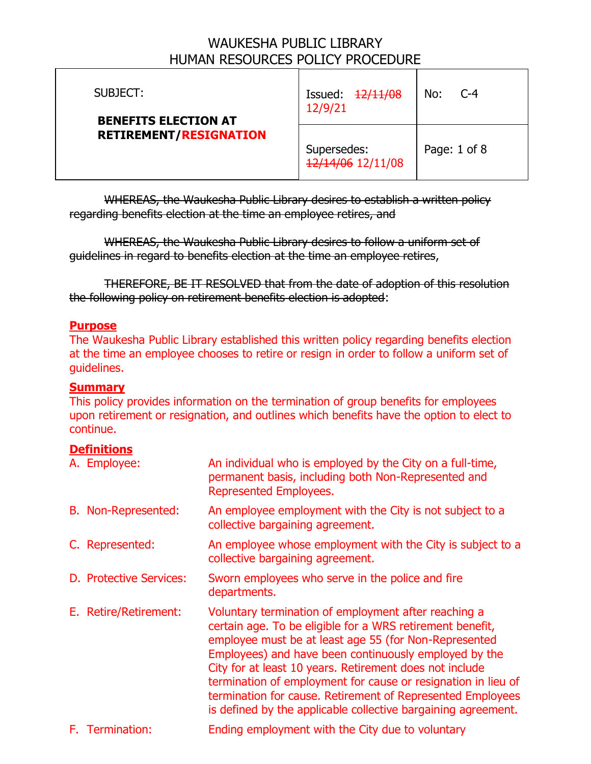| SUBJECT:<br><b>BENEFITS ELECTION AT</b><br><b>RETIREMENT/RESIGNATION</b> | Issued: $\frac{12}{11}$ /08<br>12/9/21 | No:<br>$C-4$ |
|--------------------------------------------------------------------------|----------------------------------------|--------------|
|                                                                          | Supersedes:<br>12/14/06 12/11/08       | Page: 1 of 8 |

WHEREAS, the Waukesha Public Library desires to establish a written policy regarding benefits election at the time an employee retires, and

WHEREAS, the Waukesha Public Library desires to follow a uniform set of guidelines in regard to benefits election at the time an employee retires,

THEREFORE, BE IT RESOLVED that from the date of adoption of this resolution the following policy on retirement benefits election is adopted:

### **Purpose**

The Waukesha Public Library established this written policy regarding benefits election at the time an employee chooses to retire or resign in order to follow a uniform set of guidelines.

#### **Summary**

This policy provides information on the termination of group benefits for employees upon retirement or resignation, and outlines which benefits have the option to elect to continue.

### **Definitions**

| A. Employee:               | An individual who is employed by the City on a full-time,<br>permanent basis, including both Non-Represented and<br><b>Represented Employees.</b>                                                                                                                                                                                                                                                                                                                                              |
|----------------------------|------------------------------------------------------------------------------------------------------------------------------------------------------------------------------------------------------------------------------------------------------------------------------------------------------------------------------------------------------------------------------------------------------------------------------------------------------------------------------------------------|
| <b>B.</b> Non-Represented: | An employee employment with the City is not subject to a<br>collective bargaining agreement.                                                                                                                                                                                                                                                                                                                                                                                                   |
| C. Represented:            | An employee whose employment with the City is subject to a<br>collective bargaining agreement.                                                                                                                                                                                                                                                                                                                                                                                                 |
| D. Protective Services:    | Sworn employees who serve in the police and fire<br>departments.                                                                                                                                                                                                                                                                                                                                                                                                                               |
| E. Retire/Retirement:      | Voluntary termination of employment after reaching a<br>certain age. To be eligible for a WRS retirement benefit,<br>employee must be at least age 55 (for Non-Represented<br>Employees) and have been continuously employed by the<br>City for at least 10 years. Retirement does not include<br>termination of employment for cause or resignation in lieu of<br>termination for cause. Retirement of Represented Employees<br>is defined by the applicable collective bargaining agreement. |
|                            |                                                                                                                                                                                                                                                                                                                                                                                                                                                                                                |

F. Termination: Ending employment with the City due to voluntary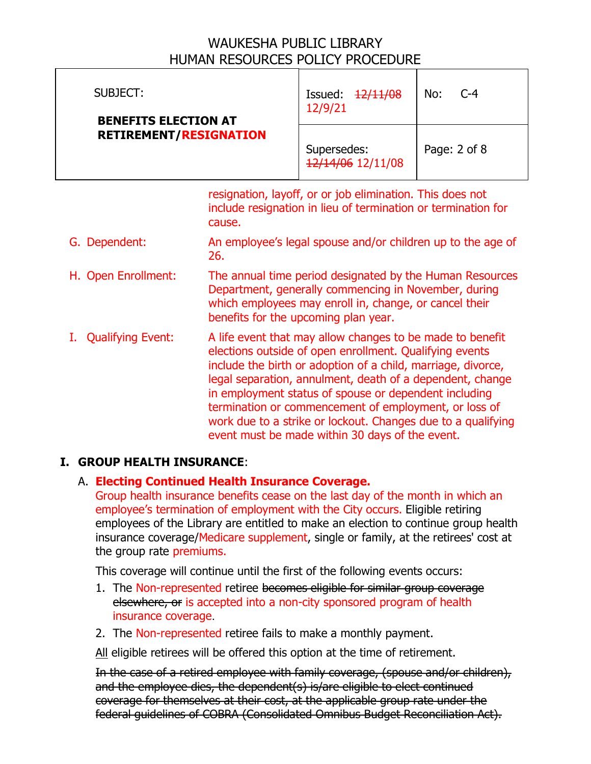| SUBJECT:<br><b>BENEFITS ELECTION AT</b><br><b>RETIREMENT/RESIGNATION</b> | Issued: $\frac{12}{1100}$<br>12/9/21 | No:<br>$C-4$ |
|--------------------------------------------------------------------------|--------------------------------------|--------------|
|                                                                          | Supersedes:<br>12/14/06 12/11/08     | Page: 2 of 8 |
| resignation, layoff, or or job elimination. This does not                |                                      |              |

resignation, layoff, or or job elimination. This does not include resignation in lieu of termination or termination for cause.

- G. Dependent: An employee's legal spouse and/or children up to the age of 26.
- H. Open Enrollment: The annual time period designated by the Human Resources Department, generally commencing in November, during which employees may enroll in, change, or cancel their benefits for the upcoming plan year.
- I. Qualifying Event: A life event that may allow changes to be made to benefit elections outside of open enrollment. Qualifying events include the birth or adoption of a child, marriage, divorce, legal separation, annulment, death of a dependent, change in employment status of spouse or dependent including termination or commencement of employment, or loss of work due to a strike or lockout. Changes due to a qualifying event must be made within 30 days of the event.

### **I. GROUP HEALTH INSURANCE**:

### A. **Electing Continued Health Insurance Coverage.**

Group health insurance benefits cease on the last day of the month in which an employee's termination of employment with the City occurs. Eligible retiring employees of the Library are entitled to make an election to continue group health insurance coverage/Medicare supplement, single or family, at the retirees' cost at the group rate premiums.

This coverage will continue until the first of the following events occurs:

- 1. The Non-represented retiree becomes eligible for similar group coverage elsewhere, or is accepted into a non-city sponsored program of health insurance coverage.
- 2. The Non-represented retiree fails to make a monthly payment.

All eligible retirees will be offered this option at the time of retirement.

In the case of a retired employee with family coverage, (spouse and/or children), and the employee dies, the dependent(s) is/are eligible to elect continued coverage for themselves at their cost, at the applicable group rate under the federal guidelines of COBRA (Consolidated Omnibus Budget Reconciliation Act).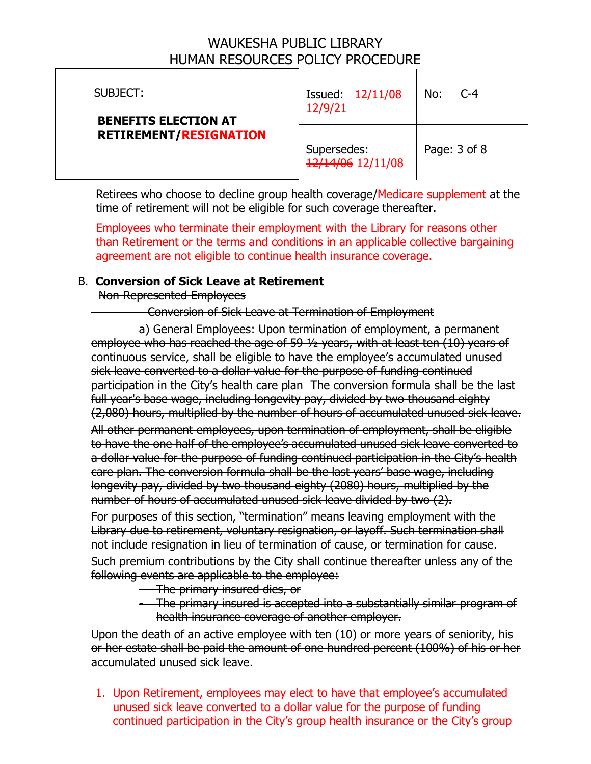| SUBJECT:<br><b>BENEFITS ELECTION AT</b><br><b>RETIREMENT/RESIGNATION</b> | Issued: $\frac{12}{11}$ /08<br>12/9/21 | No:<br>$C-4$     |
|--------------------------------------------------------------------------|----------------------------------------|------------------|
|                                                                          | Supersedes:<br>12/14/06 12/11/08       | Page: $3$ of $8$ |

Retirees who choose to decline group health coverage/Medicare supplement at the time of retirement will not be eligible for such coverage thereafter.

Employees who terminate their employment with the Library for reasons other than Retirement or the terms and conditions in an applicable collective bargaining agreement are not eligible to continue health insurance coverage.

#### B. **Conversion of Sick Leave at Retirement**

Non-Represented Employees

#### Conversion of Sick Leave at Termination of Employment

a) General Employees: Upon termination of employment, a permanent employee who has reached the age of 59 ½ years, with at least ten (10) years of continuous service, shall be eligible to have the employee's accumulated unused sick leave converted to a dollar value for the purpose of funding continued participation in the City's health care plan The conversion formula shall be the last full year's base wage, including longevity pay, divided by two thousand eighty (2,080) hours, multiplied by the number of hours of accumulated unused sick leave.

All other permanent employees, upon termination of employment, shall be eligible to have the one half of the employee's accumulated unused sick leave converted to a dollar value for the purpose of funding continued participation in the City's health care plan. The conversion formula shall be the last years' base wage, including longevity pay, divided by two thousand eighty (2080) hours, multiplied by the number of hours of accumulated unused sick leave divided by two (2).

For purposes of this section, "termination" means leaving employment with the Library due to retirement, voluntary resignation, or layoff. Such termination shall not include resignation in lieu of termination of cause, or termination for cause.

Such premium contributions by the City shall continue thereafter unless any of the following events are applicable to the employee:

- The primary insured dies, or
- The primary insured is accepted into a substantially similar program of health insurance coverage of another employer.

Upon the death of an active employee with ten (10) or more years of seniority, his or her estate shall be paid the amount of one hundred percent (100%) of his or her accumulated unused sick leave.

1. Upon Retirement, employees may elect to have that employee's accumulated unused sick leave converted to a dollar value for the purpose of funding continued participation in the City's group health insurance or the City's group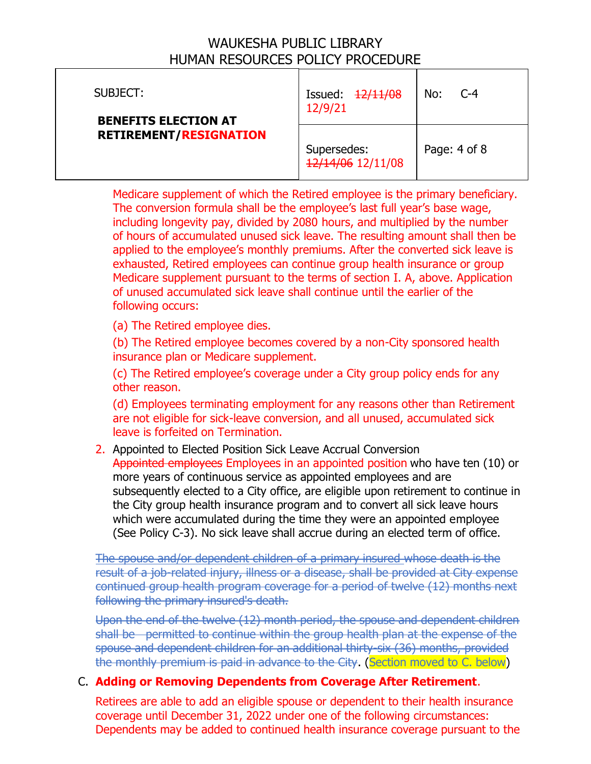| SUBJECT:<br><b>BENEFITS ELECTION AT</b><br><b>RETIREMENT/RESIGNATION</b> | Issued: $\frac{12}{11}$ /08<br>12/9/21 | No:<br>$C-4$     |
|--------------------------------------------------------------------------|----------------------------------------|------------------|
|                                                                          | Supersedes:<br>12/14/06 12/11/08       | Page: $4$ of $8$ |

Medicare supplement of which the Retired employee is the primary beneficiary. The conversion formula shall be the employee's last full year's base wage, including longevity pay, divided by 2080 hours, and multiplied by the number of hours of accumulated unused sick leave. The resulting amount shall then be applied to the employee's monthly premiums. After the converted sick leave is exhausted, Retired employees can continue group health insurance or group Medicare supplement pursuant to the terms of section I. A, above. Application of unused accumulated sick leave shall continue until the earlier of the following occurs:

(a) The Retired employee dies.

(b) The Retired employee becomes covered by a non-City sponsored health insurance plan or Medicare supplement.

(c) The Retired employee's coverage under a City group policy ends for any other reason.

(d) Employees terminating employment for any reasons other than Retirement are not eligible for sick-leave conversion, and all unused, accumulated sick leave is forfeited on Termination.

2. Appointed to Elected Position Sick Leave Accrual Conversion Appointed employees Employees in an appointed position who have ten (10) or more years of continuous service as appointed employees and are subsequently elected to a City office, are eligible upon retirement to continue in the City group health insurance program and to convert all sick leave hours which were accumulated during the time they were an appointed employee (See Policy C-3). No sick leave shall accrue during an elected term of office.

The spouse and/or dependent children of a primary insured whose death is the result of a job-related injury, illness or a disease, shall be provided at City expense continued group health program coverage for a period of twelve (12) months next following the primary insured's death.

Upon the end of the twelve (12) month period, the spouse and dependent children shall be permitted to continue within the group health plan at the expense of the spouse and dependent children for an additional thirty-six (36) months, provided the monthly premium is paid in advance to the City. (Section moved to C. below)

### C. **Adding or Removing Dependents from Coverage After Retirement**.

Retirees are able to add an eligible spouse or dependent to their health insurance coverage until December 31, 2022 under one of the following circumstances: Dependents may be added to continued health insurance coverage pursuant to the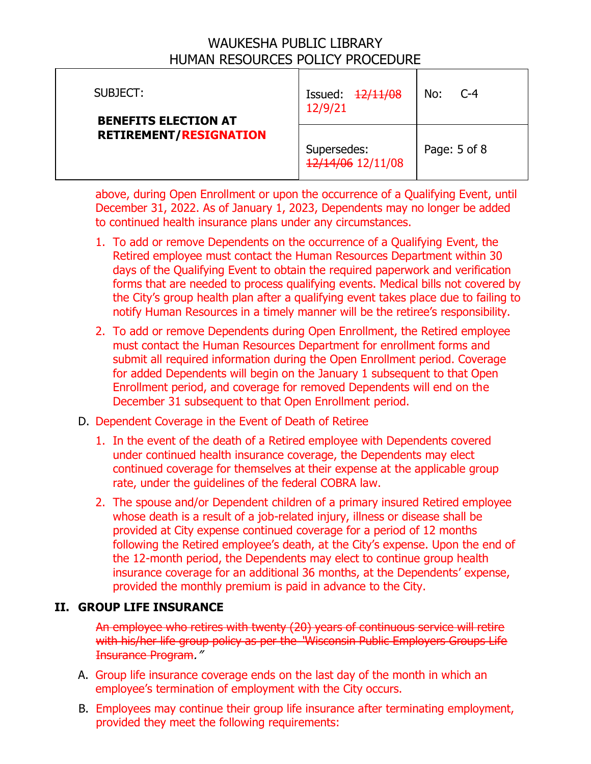| SUBJECT:<br><b>BENEFITS ELECTION AT</b><br><b>RETIREMENT/RESIGNATION</b> | Issued: $\frac{12}{1100}$<br>12/9/21 | No:<br>$C-4$ |
|--------------------------------------------------------------------------|--------------------------------------|--------------|
|                                                                          | Supersedes:<br>12/14/06 12/11/08     | Page: 5 of 8 |

above, during Open Enrollment or upon the occurrence of a Qualifying Event, until December 31, 2022. As of January 1, 2023, Dependents may no longer be added to continued health insurance plans under any circumstances.

- 1. To add or remove Dependents on the occurrence of a Qualifying Event, the Retired employee must contact the Human Resources Department within 30 days of the Qualifying Event to obtain the required paperwork and verification forms that are needed to process qualifying events. Medical bills not covered by the City's group health plan after a qualifying event takes place due to failing to notify Human Resources in a timely manner will be the retiree's responsibility.
- 2. To add or remove Dependents during Open Enrollment, the Retired employee must contact the Human Resources Department for enrollment forms and submit all required information during the Open Enrollment period. Coverage for added Dependents will begin on the January 1 subsequent to that Open Enrollment period, and coverage for removed Dependents will end on the December 31 subsequent to that Open Enrollment period.

### D. Dependent Coverage in the Event of Death of Retiree

- 1. In the event of the death of a Retired employee with Dependents covered under continued health insurance coverage, the Dependents may elect continued coverage for themselves at their expense at the applicable group rate, under the guidelines of the federal COBRA law.
- 2. The spouse and/or Dependent children of a primary insured Retired employee whose death is a result of a job-related injury, illness or disease shall be provided at City expense continued coverage for a period of 12 months following the Retired employee's death, at the City's expense. Upon the end of the 12-month period, the Dependents may elect to continue group health insurance coverage for an additional 36 months, at the Dependents' expense, provided the monthly premium is paid in advance to the City.

### **II. GROUP LIFE INSURANCE**

An employee who retires with twenty (20) years of continuous service will retire with his/her life group policy as per the "Wisconsin Public Employers Groups Life Insurance Program."

- A. Group life insurance coverage ends on the last day of the month in which an employee's termination of employment with the City occurs.
- B. Employees may continue their group life insurance after terminating employment, provided they meet the following requirements: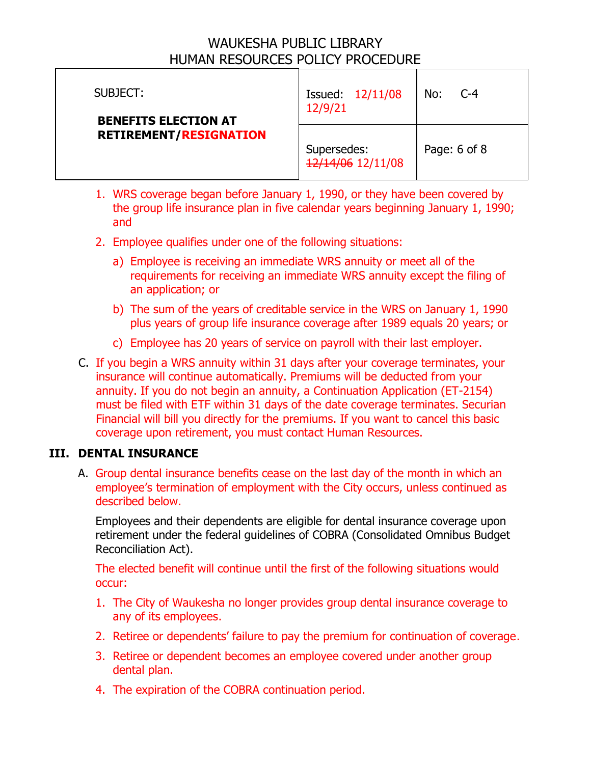| SUBJECT:<br><b>BENEFITS ELECTION AT</b><br><b>RETIREMENT/RESIGNATION</b> | Issued: $\frac{12}{11}$ /08<br>12/9/21 | No:<br>$C-4$     |
|--------------------------------------------------------------------------|----------------------------------------|------------------|
|                                                                          | Supersedes:<br>12/14/06 12/11/08       | Page: $6$ of $8$ |

- 1. WRS coverage began before January 1, 1990, or they have been covered by the group life insurance plan in five calendar years beginning January 1, 1990; and
- 2. Employee qualifies under one of the following situations:
	- a) Employee is receiving an immediate WRS annuity or meet all of the requirements for receiving an immediate WRS annuity except the filing of an application; or
	- b) The sum of the years of creditable service in the WRS on January 1, 1990 plus years of group life insurance coverage after 1989 equals 20 years; or
	- c) Employee has 20 years of service on payroll with their last employer.
- C. If you begin a WRS annuity within 31 days after your coverage terminates, your insurance will continue automatically. Premiums will be deducted from your annuity. If you do not begin an annuity, a Continuation Application (ET-2154) must be filed with ETF within 31 days of the date coverage terminates. Securian Financial will bill you directly for the premiums. If you want to cancel this basic coverage upon retirement, you must contact Human Resources.

### **III. DENTAL INSURANCE**

A. Group dental insurance benefits cease on the last day of the month in which an employee's termination of employment with the City occurs, unless continued as described below.

Employees and their dependents are eligible for dental insurance coverage upon retirement under the federal guidelines of COBRA (Consolidated Omnibus Budget Reconciliation Act).

The elected benefit will continue until the first of the following situations would occur:

- 1. The City of Waukesha no longer provides group dental insurance coverage to any of its employees.
- 2. Retiree or dependents' failure to pay the premium for continuation of coverage.
- 3. Retiree or dependent becomes an employee covered under another group dental plan.
- 4. The expiration of the COBRA continuation period.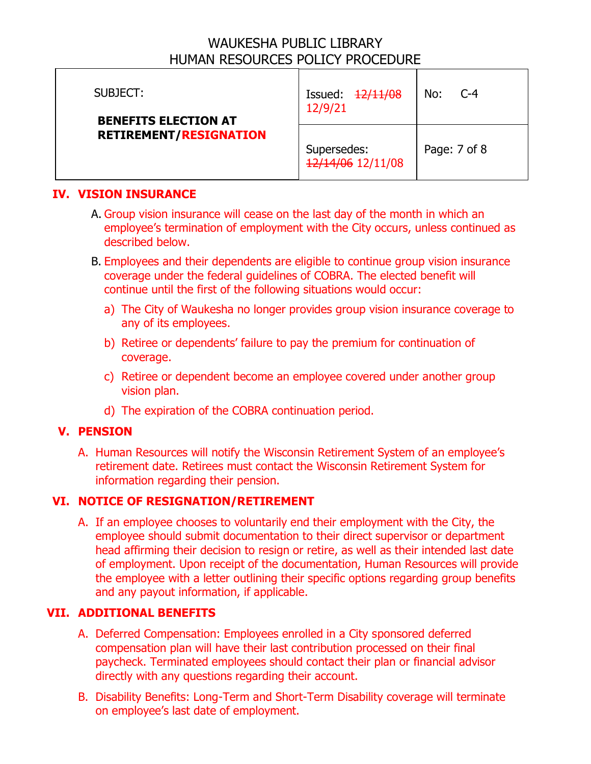| SUBJECT:<br><b>BENEFITS ELECTION AT</b><br><b>RETIREMENT/RESIGNATION</b> | Issued: $\frac{12}{11}$ + 08<br>12/9/21 | No:<br>$C-4$ |
|--------------------------------------------------------------------------|-----------------------------------------|--------------|
|                                                                          | Supersedes:<br>12/14/06 12/11/08        | Page: 7 of 8 |

### **IV. VISION INSURANCE**

- A. Group vision insurance will cease on the last day of the month in which an employee's termination of employment with the City occurs, unless continued as described below.
- B. Employees and their dependents are eligible to continue group vision insurance coverage under the federal guidelines of COBRA. The elected benefit will continue until the first of the following situations would occur:
	- a) The City of Waukesha no longer provides group vision insurance coverage to any of its employees.
	- b) Retiree or dependents' failure to pay the premium for continuation of coverage.
	- c) Retiree or dependent become an employee covered under another group vision plan.
	- d) The expiration of the COBRA continuation period.

### **V. PENSION**

A. Human Resources will notify the Wisconsin Retirement System of an employee's retirement date. Retirees must contact the Wisconsin Retirement System for information regarding their pension.

### **VI. NOTICE OF RESIGNATION/RETIREMENT**

A. If an employee chooses to voluntarily end their employment with the City, the employee should submit documentation to their direct supervisor or department head affirming their decision to resign or retire, as well as their intended last date of employment. Upon receipt of the documentation, Human Resources will provide the employee with a letter outlining their specific options regarding group benefits and any payout information, if applicable.

### **VII. ADDITIONAL BENEFITS**

- A. Deferred Compensation: Employees enrolled in a City sponsored deferred compensation plan will have their last contribution processed on their final paycheck. Terminated employees should contact their plan or financial advisor directly with any questions regarding their account.
- B. Disability Benefits: Long-Term and Short-Term Disability coverage will terminate on employee's last date of employment.